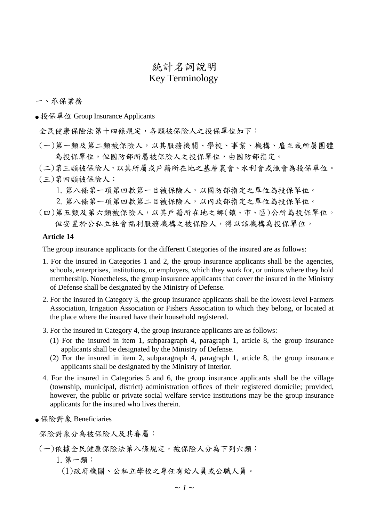# 統計名詞說明 Key Terminology

#### 一、承保業務

● 投保單位 Group Insurance Applicants

全民健康保險法第十四條規定,各類被保險人之投保單位如下:

(一)第一類及第二類被保險人,以其服務機關、學校、事業、機構、雇主或所屬團體 為投保單位。但國防部所屬被保險人之投保單位,由國防部指定。

(二)第三類被保險人,以其所屬或戶籍所在地之基層農會、水利會或漁會為投保單位。 (三)第四類被保險人:

1.第八條第一項第四款第一目被保險人,以國防部指定之單位為投保單位。

2.第八條第一項第四款第二目被保險人,以內政部指定之單位為投保單位。

(四)第五類及第六類被保險人,以其戶籍所在地之鄉(鎮、市、區)公所為投保單位。 但安置於公私立社會福利服務機構之被保險人,得以該機構為投保單位。

#### **Article 14**

The group insurance applicants for the different Categories of the insured are as follows:

- 1. For the insured in Categories 1 and 2, the group insurance applicants shall be the agencies, schools, enterprises, institutions, or employers, which they work for, or unions where they hold membership. Nonetheless, the group insurance applicants that cover the insured in the Ministry of Defense shall be designated by the Ministry of Defense.
- 2. For the insured in Category 3, the group insurance applicants shall be the lowest-level Farmers Association, Irrigation Association or Fishers Association to which they belong, or located at the place where the insured have their household registered.
- 3. For the insured in Category 4, the group insurance applicants are as follows:
	- (1) For the insured in item 1, subparagraph 4, paragraph 1, article 8, the group insurance applicants shall be designated by the Ministry of Defense.
	- (2) For the insured in item 2, subparagraph 4, paragraph 1, article 8, the group insurance applicants shall be designated by the Ministry of Interior.
- 4. For the insured in Categories 5 and 6, the group insurance applicants shall be the village (township, municipal, district) administration offices of their registered domicile; provided, however, the public or private social welfare service institutions may be the group insurance applicants for the insured who lives therein.
- 保險對象 Beneficiaries

保險對象分為被保險人及其眷屬:

## (一)依據全民健康保險法第八條規定,被保險人分為下列六類:

- 1.第一類:
	- (1)政府機關、公私立學校之專任有給人員或公職人員。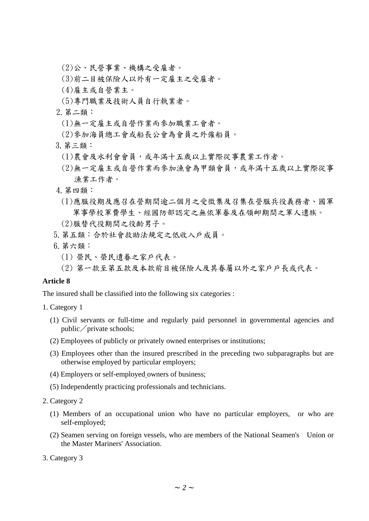(2)公、民營事業、機構之受雇者。

- (3)前二目被保險人以外有一定雇主之受雇者。
- (4)雇主或自營業主。
- (5)專門職業及技術人員自行執業者。
- 2.第二類:
	- (1)無一定雇主或自營作業而參加職業工會者。
	- (2)參加海員總工會或船長公會為會員之外僱船員。
- 3.第三類:
	- (1)農會及水利會會員,或年滿十五歲以上實際從事農業工作者。
	- (2)無一定雇主或自營作業而參加漁會為甲類會員,或年滿十五歲以上實際從事 漁業工作者。
- 4.第四類:
	- (1)應服役期及應召在營期間逾二個月之受徵集及召集在營服兵役義務者、國軍 軍事學校軍費學生、經國防部認定之無依軍眷及在領卹期間之軍人遺族。
	- (2)服替代役期間之役齡男子。
- 5.第五類:合於社會救助法規定之低收入戶成員。
- 6.第六類:
	- (1) 榮民、榮民遺眷之家戶代表。
	- (2) 第一款至第五款及本款前目被保險人及其眷屬以外之家戶戶長或代表。

# **Article 8**

The insured shall be classified into the following six categories :

- 1. Category 1
	- (1) Civil servants or full-time and regularly paid personnel in governmental agencies and public  $\sqrt{\text{private schools}}$ ;
	- (2) Employees of publicly or privately owned enterprises or institutions;
	- (3) Employees other than the insured prescribed in the preceding two subparagraphs but are otherwise employed by particular employers;
	- (4) Employers or self-employed owners of business;
	- (5) Independently practicing professionals and technicians.
- 2. Category 2
	- (1) Members of an occupational union who have no particular employers, or who are self-employed;
	- (2) Seamen serving on foreign vessels, who are members of the National Seamen's Union or the Master Mariners' Association.
- 3. Category 3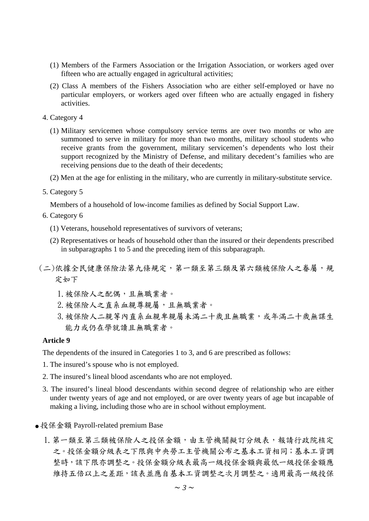- (1) Members of the Farmers Association or the Irrigation Association, or workers aged over fifteen who are actually engaged in agricultural activities;
- (2) Class A members of the Fishers Association who are either self-employed or have no particular employers, or workers aged over fifteen who are actually engaged in fishery activities.
- 4. Category 4
	- (1) Military servicemen whose compulsory service terms are over two months or who are summoned to serve in military for more than two months, military school students who receive grants from the government, military servicemen's dependents who lost their support recognized by the Ministry of Defense, and military decedent's families who are receiving pensions due to the death of their decedents;
	- (2) Men at the age for enlisting in the military, who are currently in military-substitute service.
- 5. Category 5

Members of a household of low-income families as defined by Social Support Law.

- 6. Category 6
	- (1) Veterans, household representatives of survivors of veterans;
	- (2) Representatives or heads of household other than the insured or their dependents prescribed in subparagraphs 1 to 5 and the preceding item of this subparagraph.
- (二)依據全民健康保險法第九條規定,第一類至第三類及第六類被保險人之眷屬,規 定如下
	- 1. 被保險人之配偶,且無職業者。
	- 2.被保險人之直系血親尊親屬,且無職業者。
	- 3. 被保險人二親等內直系血親卑親屬未滿二十歲且無職業,或年滿二十歲無謀生 能力或仍在學就讀且無職業者。

#### **Article 9**

The dependents of the insured in Categories 1 to 3, and 6 are prescribed as follows:

- 1. The insured's spouse who is not employed.
- 2. The insured's lineal blood ascendants who are not employed.
- 3. The insured's lineal blood descendants within second degree of relationship who are either under twenty years of age and not employed, or are over twenty years of age but incapable of making a living, including those who are in school without employment.
- 投保金額 Payroll-related premium Base
	- 1. 第一類至第三類被保險人之投保金額,由主管機關擬訂分級表,報請行政院核定 之。投保金額分級表之下限與中央勞工主管機關公布之基本工資相同;基本工資調 整時,該下限亦調整之。投保金額分級表最高一級投保金額與低一級投保金額應 維持五倍以上之差距,該表並應自基本工資調整之次月調整之。適用最高一級投保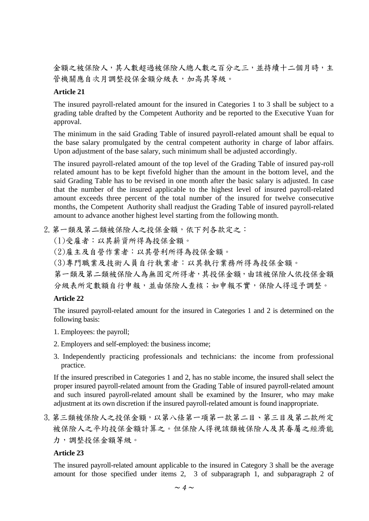金額之被保險人數超過被保險人總人數之百分之三,並持續十二個月時,主 管機關應自次月調整投保金額分級表,加高其等級。

# **Article 21**

The insured payroll-related amount for the insured in Categories 1 to 3 shall be subject to a grading table drafted by the Competent Authority and be reported to the Executive Yuan for approval.

The minimum in the said Grading Table of insured payroll-related amount shall be equal to the base salary promulgated by the central competent authority in charge of labor affairs. Upon adjustment of the base salary, such minimum shall be adjusted accordingly.

The insured payroll-related amount of the top level of the Grading Table of insured pay-roll related amount has to be kept fivefold higher than the amount in the bottom level, and the said Grading Table has to be revised in one month after the basic salary is adjusted. In case that the number of the insured applicable to the highest level of insured payroll-related amount exceeds three percent of the total number of the insured for twelve consecutive months, the Competent Authority shall readjust the Grading Table of insured payroll-related amount to advance another highest level starting from the following month.

2. 第一類及第二類被保險人之投保金額,依下列各款定之:

(1)受雇者:以其薪資所得為投保金額。

- (2)雇主及自營作業者:以其營利所得為投保金額。
- (3)專門職業及技術人員自行執業者:以其執行業務所得為投保金額。

第一類及第二類被保險人為無固定所得者,其投保金額,由該被保險人依投保金額 分級表所定數額自行申報,並由保險人查核;如申報不實,保險人得逕予調整。

## **Article 22**

The insured payroll-related amount for the insured in Categories 1 and 2 is determined on the following basis:

- 1. Employees: the payroll;
- 2. Employers and self-employed: the business income;
- 3. Independently practicing professionals and technicians: the income from professional practice.

If the insured prescribed in Categories 1 and 2, has no stable income, the insured shall select the proper insured payroll-related amount from the Grading Table of insured payroll-related amount and such insured payroll-related amount shall be examined by the Insurer, who may make adjustment at its own discretion if the insured payroll-related amount is found inappropriate.

3. 第三類被保險人之投保金額, 以第八條第一項第一款第二目、第三目及第二款所定 被保險人之平均投保金額計算之。但保險人得視該類被保險人及其眷屬之經濟能 力,調整投保金額等級。

## **Article 23**

The insured payroll-related amount applicable to the insured in Category 3 shall be the average amount for those specified under items 2, 3 of subparagraph 1, and subparagraph 2 of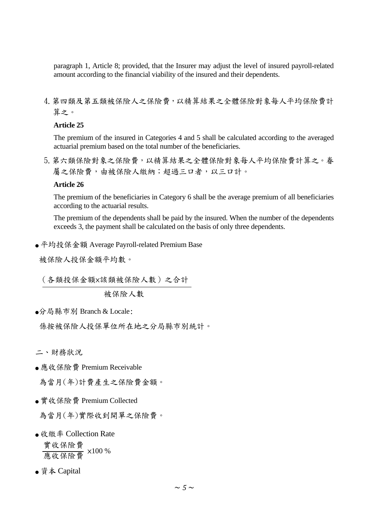paragraph 1, Article 8; provided, that the Insurer may adjust the level of insured payroll-related amount according to the financial viability of the insured and their dependents.

4.第四類及第五類被保險人之保險費,以精算結果之全體保險對象每人平均保險費計 算之。

# **Article 25**

The premium of the insured in Categories 4 and 5 shall be calculated according to the averaged actuarial premium based on the total number of the beneficiaries.

5.第六類保險對象之保險費,以精算結果之全體保險對象每人平均保險費計算之。眷 屬之保險費,由被保險人繳納;超過三口者,以三口計。

# **Article 26**

The premium of the beneficiaries in Category 6 shall be the average premium of all beneficiaries according to the actuarial results.

The premium of the dependents shall be paid by the insured. When the number of the dependents exceeds 3, the payment shall be calculated on the basis of only three dependents.

● 平均投保金額 Average Payroll-related Premium Base

被保險人投保金額平均數。

 $\ddot{\phantom{0}}$ (各類投保金額×該類被保險人數)之合計

被保險人數

●分局縣市別 Branch & Locale:

係按被保險人投保單位所在地之分局縣市別統計。

二、財務狀況

● 應收保險費 Premium Receivable

為當月(年)計費產生之保險費金額。

● 實收保險費 Premium Collected

為當月(年)實際收到開單之保險費。

● 收繳率 Collection Rate

實收保險費 <u>震收保險費</u> ×100 %

● 資本 Capital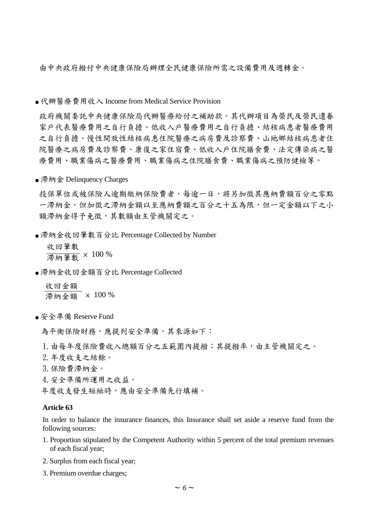由中央政府撥付中央健康保險局辦理全民健康保險所需之設備費用及週轉金。

● 代辦醫療費用收入 Income from Medical Service Provision

政府機關委託中央健康保險局代辦醫療給付之補助款。其代辦項目為榮民及榮民遺眷 家戶代表醫療費用之自行負擔、結核病患者醫療費用 之自行負擔、慢性開放性結核病患住院醫療之病房費及診察費、山地鄉結核病患者住 院醫療之病房費及診察費、康復之家住宿費、低收入戶住院膳食費、法定傳染病之醫 療費用、職業傷病之醫療費用、職業傷病之住院膳食費、職業傷病之預防健檢等。

● 滯納金 Delinquency Charges

投保單位或被保險人逾期繳納保險費者,每逾一日,將另加徵其應納費額百分之零點 一滯納金,但加徵之滯納金額以至應納費額之百分之十五為限,但一定金額以下之小 額滯納金得予免徵,其數額由主管機關定之。

● 滯納金收回筆數百分比 Percentage Collected by Number

 收回筆數 滯納筆數 × 100 %

- 滯納金收回金額百分比 Percentage Collected
	- 收回金額 滯納金額 × 100 %
- 安全準備 Reserve Fund

為平衡保險財務,應提列安全準備,其來源如下:

1. 由每年度保險費收入總額百分之五範圍內提撥;其提撥率,由主管機關定之。

2.年度收支之結餘。

3.保險費滯納金。

4.安全準備所運用之收益。

年度收支發生短絀時,應由安全準備先行填補。

#### **Article 63**

In order to balance the insurance finances, this Insurance shall set aside a reserve fund from the following sources:

- 1. Proportion stipulated by the Competent Authority within 5 percent of the total premium revenues of each fiscal year;
- 2. Surplus from each fiscal year;
- 3. Premium overdue charges;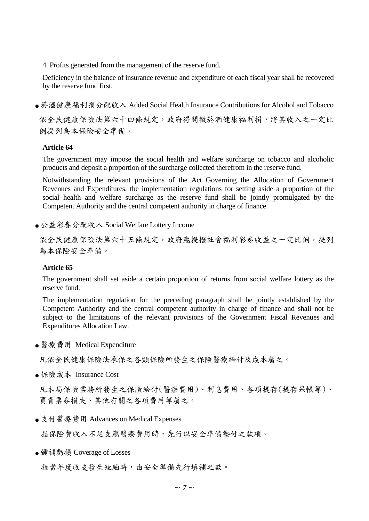4. Profits generated from the management of the reserve fund.

Deficiency in the balance of insurance revenue and expenditure of each fiscal year shall be recovered by the reserve fund first.

● 菸酒健康福利捐分配收入 Added Social Health Insurance Contributions for Alcohol and Tobacco

依全民健康保險法第六十四條規定,政府得開徵菸酒健康福利捐,將其收入之一定比 例提列為本保險安全準備。

## **Article 64**

The government may impose the social health and welfare surcharge on tobacco and alcoholic products and deposit a proportion of the surcharge collected therefrom in the reserve fund.

Notwithstanding the relevant provisions of the Act Governing the Allocation of Government Revenues and Expenditures, the implementation regulations for setting aside a proportion of the social health and welfare surcharge as the reserve fund shall be jointly promulgated by the Competent Authority and the central competent authority in charge of finance.

● 公益彩券分配收入 Social Welfare Lottery Income

依全民健康保險法第六十五條規定,政府應提撥社會福利彩券收益之一定比例,提列 為本保險安全準備。

## **Article 65**

The government shall set aside a certain proportion of returns from social welfare lottery as the reserve fund.

The implementation regulation for the preceding paragraph shall be jointly established by the Competent Authority and the central competent authority in charge of finance and shall not be subject to the limitations of the relevant provisions of the Government Fiscal Revenues and Expenditures Allocation Law.

● 醫療費用 Medical Expenditure

凡依全民健康保險法承保之各類保險所發生之保險醫療給付及成本屬之。

● 保險成本 Insurance Cost

凡本局保險業務所發生之保險給付(醫療費用)、利息費用、各項提存(提存呆帳等)、 買賣票券損失、其他有關之各項費用等屬之。

● 支付醫療費用 Advances on Medical Expenses

指保險費收入不足支應醫療費用時,先行以安全準備墊付之款項。

● 彌補虧損 Coverage of Losses

指當年度收支發生短絀時,由安全準備先行填補之數。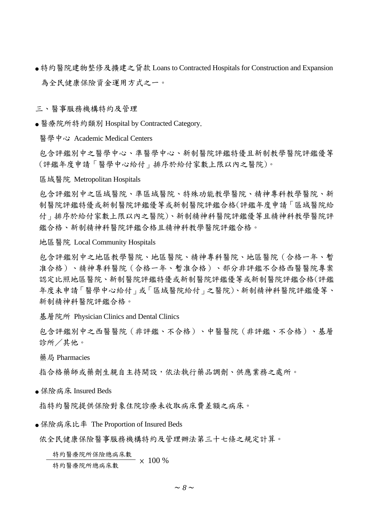● 特約醫院建物整修及擴建之貸款 Loans to Contracted Hospitals for Construction and Expansion 為全民健康保險資金運用方式之一。

三、醫事服務機構特約及管理

● 醫療院所特約類別 Hospital by Contracted Category.

醫學中心 Academic Medical Centers

包含評鑑別中之醫學中心、準醫學中心、新制醫院評鑑特優且新制教學醫院評鑑優等 (評鑑年度申請「醫學中心給付」排序於給付家數上限以內之醫院)。

區域醫院 Metropolitan Hospitals

包含評鑑別中之區域醫院、準區域醫院、特殊功能教學醫院、精神專科教學醫院、新 制醫院評鑑特優或新制醫院評鑑優等或新制醫院評鑑合格(評鑑年度申請「區域醫院給 付」排序於給付家數上限以內之醫院)、新制精神科醫院評鑑優等且精神科教學醫院評 鑑合格、新制精神科醫院評鑑合格且精神科教學醫院評鑑合格。

地區醫院 Local Community Hospitals

包含評鑑別中之地區教學醫院、地區醫院、精神專科醫院、地區醫院(合格一年、暫 准合格)、精神專科醫院(合格一年、暫准合格)、部分非評鑑不合格西醫醫院專案 認定比照地區醫院、新制醫院評鑑特優或新制醫院評鑑優等或新制醫院評鑑合格(評鑑 年度未申請「醫學中心給付」或「區域醫院給付」之醫院)、新制精神科醫院評鑑優等、 新制精神科醫院評鑑合格。

基層院所 Physician Clinics and Dental Clinics

包含評鑑別中之西醫醫院(非評鑑、不合格)、中醫醫院(非評鑑、不合格)、基層 診所/其他。

藥局 Pharmacies

指合格藥師或藥劑生親自主持開設,依法執行藥品調劑、供應業務之處所。

● 保险病床 Insured Beds

指特約醫院提供保險對象住院診療未收取病床費差額之病床。

● 保險病床比率 The Proportion of Insured Beds

依全民健康保險醫事服務機構特約及管理辦法第三十七條之規定計算。

特約醫療院所保險總病床數

\*<del>\*\*\*\*\*\*\*\*\*\*\*\*\*\*\*\*\*\*\*\*\*\*\*\*\*\*\*\*</del> × 100 %<br>特約醫療院所總病床數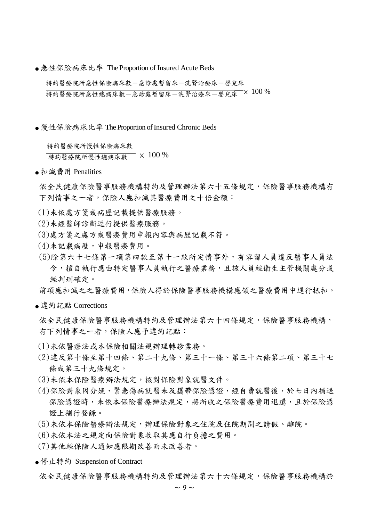● 急性保險病床比率 The Proportion of Insured Acute Beds

特約醫療院所急性保險病床數一急診處暫留床一洗腎治療床一嬰兒床 -<br>特約醫療院所急性總病床數-急診處暫留床-洗腎治療床-嬰兒床 × 100 %

● 慢性保險病床比率 The Proportion of Insured Chronic Beds

特約醫療院所慢性保險病床數

特約醫療院所慢性總病床數 × 100 %

● 扣減費用 Penalities

依全民健康保險醫事服務機構特約及管理辦法第六十五條規定,保險醫事服務機構有 下列情事之一者,保險人應扣減其醫療費用之十倍金額:

- (1)未依處方箋或病歷記載提供醫療服務。
- (2)未經醫師診斷逕行提供醫療服務。
- (3)處方箋之處方或醫療費用申報內容與病歷記載不符。
- (4)未記載病歷,申報醫療費用。
- (5)除第六十七條第一項第四款至第十一款所定情事外,有容留人員違反醫事人員法 令,擅自執行應由特定醫事人員執行之醫療業務,且該人員經衛生主管機關處分或 經判刑確定。

前項應扣減之之醫療費用,保險人得於保險醫事服務機構應領之醫療費用中逕行抵扣。

● 違約記點 Corrections

依全民健康保險醫事服務機構特約及管理辦法第六十四條規定,保險醫事服務機構, 有下列情事之一者,保險人應予違約記點:

- (1)未依醫療法或本保險相關法規辦理轉診業務。
- (2)違反第十條至第十四條、第二十九條、第三十一條、第三十六條第二項、第三十七 條或第三十九條規定。
- (3)未依本保險醫療辦法規定,核對保險對象就醫文件。
- (4)保險對象因分娩、緊急傷病就醫未及攜帶保險憑證,經自費就醫後,於七日內補送 保險憑證時,未依本保險醫療辦法規定,將所收之保險醫療費用退還,且於保險憑 證上補行登錄。
- (5)未依本保險醫療辦法規定,辦理保險對象之住院及住院期間之請假、離院。
- (6)未依本法之規定向保險對象收取其應自行負擔之費用。
- (7)其他經保險人通知應限期改善而未改善者。
- 停止特約 Suspension of Contract

依全民健康保險醫事服務機構特約及管理辦法第六十六條規定,保險醫事服務機構於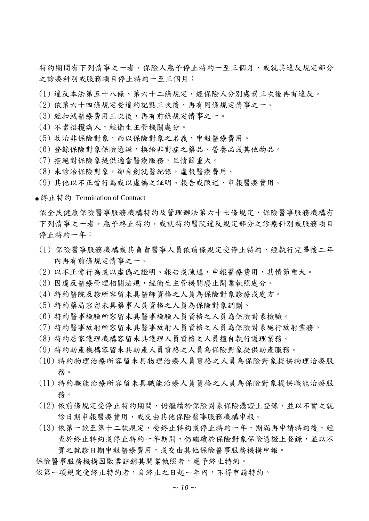特約期間有下列情事之一者,保險人應予停止特約一至三個月,或就其違反規定部分 之診療科別或服務項目停止特約一至三個月:

- (1) 違反本法第五十八條、第六十二條規定,經保險人分別處罰三次後再有違反。
- (2) 依第六十四條規定受違約記點三次後,再有同條規定情事之一。
- (3) 經扣減醫療費用三次後,再有前條規定情事之一。
- (4) 不當招攬病人,經衛生主管機關處分。
- (5) 收治非保險對象,而以保險對象之名義,申報醫療費用。
- (6) 登錄保險對象保險憑證,換給非對症之藥品、營養品或其他物品。
- (7) 拒絕對保險象提供適當醫療服務,且情節重大。
- (8) 未診治保險對象,卻自創就醫紀錄,虛報醫療費用。
- (9) 其他以不正當行為或以虛偽之証明、報告或陳述,申報醫療費用。

● 終止特約 Termination of Contract

依全民健康保險醫事服務機構特約及管理辦法第六十七條規定,保險醫事服務機構有 下列情事之一者,應予終止特約,或就特約醫院違反規定部分之診療科別或服務項目 停止特約一年:

- (1) 保險醫事服務機構或其負責醫事人員依前條規定受停止特約,經執行完畢後二年 內再有前條規定情事之一。
- (2) 以不正當行為或以虛偽之證明、報告或陳述,申報醫療費用,其情節重大。
- (3) 因違反醫療管理相關法規,經衛生主管機關廢止開業執照處分。
- (4) 特約醫院及診所容留未具醫師資格之人員為保險對象診療或處方。
- (5) 特約藥局容留未具藥事人員資格之人員為保險對象調劑。
- (6) 特約醫事檢驗所容留未具醫事檢驗人員資格之人員為保險對象檢驗。
- (7) 特約醫事放射所容留未具醫事放射人員資格之人員為保險對象施行放射業務。
- (8) 特約居家護理機構容留未具護理人員資格之人員擅自執行護理業務。
- (9) 特約助產機構容留未具助產人員資格之人員為保險對象提供助產服務。
- (10) 特約物理治療所容留未具物理治療人員資格之人員為保險對象提供物理治療服 務。
- (11) 特約職能治療所容留未具職能治療人員資格之人員為保險對象提供職能治療服 務。
- (12) 依前條規定受停止特約期間,仍繼續於保險對象保險憑證上登錄,並以不實之就 診日期申報醫療費用,或交由其他保險醫事服務機構申報。
- (13) 依第一款至第十二款規定,受終止特約或停止特約一年,期滿再申請特約後,經 查於終止特約或停止特約一年期間,仍繼續於保險對象保險憑證上登錄,並以不 實之就診日期申報醫療費用,或交由其他保險醫事服務機構申報。

保險醫事服務機構因歇業註銷其開業執照者,應予終止特約。

依第一項規定受終止特約者,自終止之日起一年內,不得申請特約。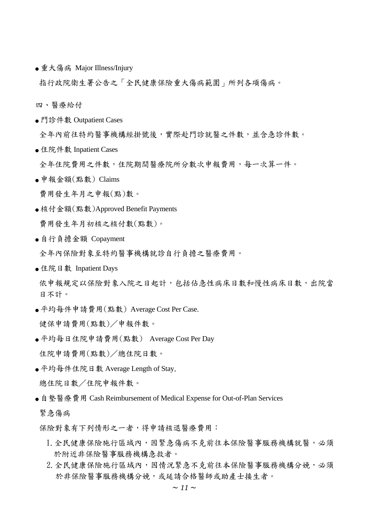● 重大傷病 Major Illness/Injury

指行政院衛生署公告之「全民健康保險重大傷病範圍」所列各項傷病。

四、醫療給付

● 門診件數 Outpatient Cases

全年內前往特約醫事機構經掛號後,實際赴門診就醫之件數,並含急診件數。

● 住院件數 Inpatient Cases

全年住院費用之件數,住院期間醫療院所分數次申報費用,每一次算一件。

 $\bullet$  申報金額 $($ 點數) Claims

費用發生年月之申報(點)數。

- 核付金額(點數)Approved Benefit Payments 費用發生年月初核之核付數(點數)。
- 自行負擔金額 Copayment

全年內保險對象至特約醫事機構就診自行負擔之醫療費用。

● 住院日數 Inpatient Days

依申報規定以保險對象入院之日起計,包括佔急性病床日數和慢性病床日數,出院當 日不計。

● 平均每件申請費用(點數) Average Cost Per Case.

健保申請費用(點數)/申報件數。

- 平均每日住院申請費用(點數) Average Cost Per Day 住院申請費用(點數)/總住院日數。
- 平均每件住院日數 Average Length of Stay. 總住院日數/住院申報件數。
- 自墊醫療費用 Cash Reimbursement of Medical Expense for Out-of-Plan Services
	- 緊急傷病

保險對象有下列情形之一者,得申請核退醫療費用:

- 1. 全民健康保險施行區域內,因緊急傷病不克前往本保險醫事服務機構就醫,必須 於附近非保險醫事服務機構急救者。
- 2. 全民健康保險施行區域內,因情況緊急不克前往本保險醫事服務機構分娩,必須 於非保險醫事服務機構分娩,或延請合格醫師或助產士接生者。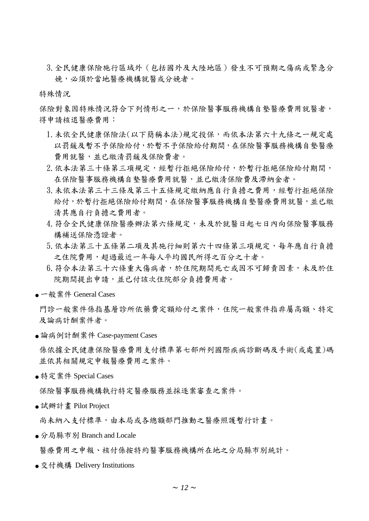3.全民健康保險施行區域外(包括國外及大陸地區)發生不可預期之傷病或緊急分 娩,必須於當地醫療機構就醫或分娩者。

特殊情況

保險對象因特殊情況符合下列情形之一,於保險醫事服務機構自墊醫療費用就醫者, 得申請核退醫療費用:

- 1.未依全民健康保險法(以下簡稱本法)規定投保,而依本法第六十九條之一規定處 以罰鍰及暫不予保險給付,於暫不予保險給付期間,在保險醫事服務機構自墊醫療 費用就醫,並已繳清罰鍰及保險費者。
- 2.依本法第三十條第三項規定,經暫行拒絕保險給付,於暫行拒絕保險給付期間, 在保險醫事服務機構自墊醫療費用就醫,並已繳清保險費及滯納金者。
- 3.未依本法第三十三條及第三十五條規定繳納應自行負擔之費用,經暫行拒絕保險 給付,於暫行拒絕保險給付期間,在保險醫事服務機構自墊醫療費用就醫,並已繳 清其應自行負擔之費用者。
- 4. 符合全民健康保險醫療辦法第六條規定,未及於就醫日起七日內向保險醫事服務 構補送保險憑證者。
- 5.依本法第三十五條第二項及其施行細則第六十四條第三項規定,每年應自行負擔 之住院費用,超過最近一年每人平均國民所得之百分之十者。
- 6. 符合本法第三十六條重大傷病者,於住院期間死亡或因不可歸責因素,未及於住 院期間提出申請,並已付該次住院部分負擔費用者。
- 一般案件 General Cases

門診一般案件係指基層診所依藥費定額給付之案件,住院一般案件指非屬高額、特定 及論病計酬案件者。

● 論病例計酬案件 Case-payment Cases

係依據全民健康保險醫療費用支付標準第七部所列國際疾病診斷碼及手術(或處置)碼 並依其相關規定申報醫療費用之案件。

● 特定案件 Special Cases

保險醫事服務機構執行特定醫療服務並採逐案審查之案件。

● 試辦計畫 Pilot Project

尚未納入支付標準,由本局或各總額部門推動之醫療照護暫行計畫。

● 分局縣市別 Branch and Locale

醫療費用之申報、核付係按特約醫事服務機構所在地之分局縣市別統計。

● 交付機構 Delivery Institutions